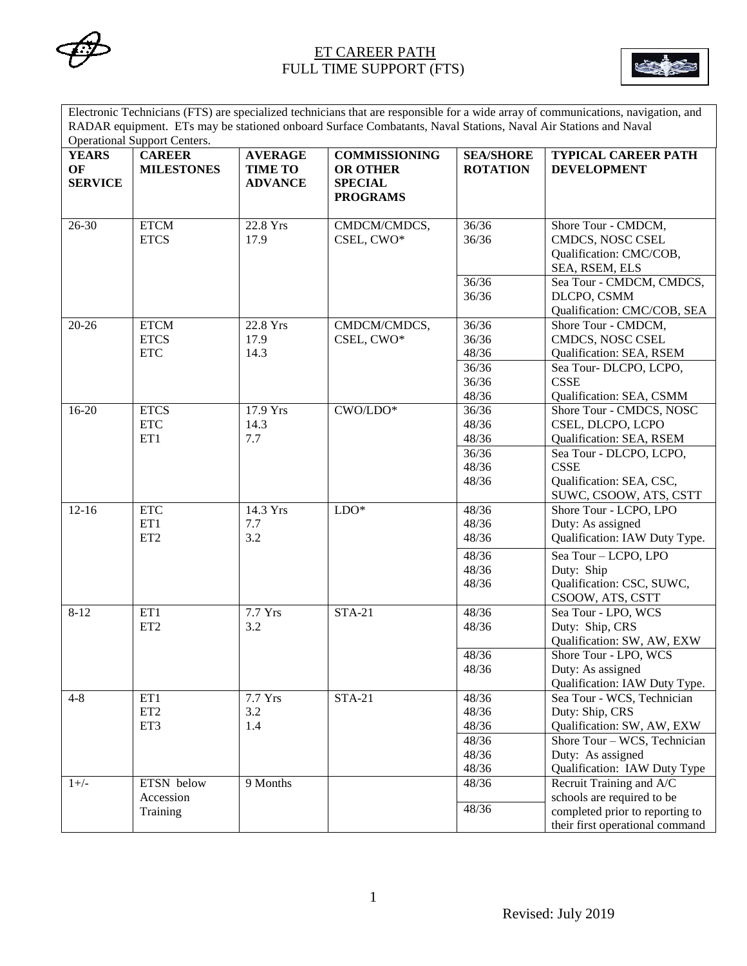



Electronic Technicians (FTS) are specialized technicians that are responsible for a wide array of communications, navigation, and RADAR equipment. ETs may be stationed onboard Surface Combatants, Naval Stations, Naval Air Stations and Naval Operational Support Centers.

| <b>YEARS</b><br>OF<br><b>SERVICE</b> | <b>CAREER</b><br><b>MILESTONES</b>              | <b>AVERAGE</b><br><b>TIME TO</b><br><b>ADVANCE</b> | <b>COMMISSIONING</b><br><b>OR OTHER</b><br><b>SPECIAL</b><br><b>PROGRAMS</b> | <b>SEA/SHORE</b><br><b>ROTATION</b>                | <b>TYPICAL CAREER PATH</b><br><b>DEVELOPMENT</b>                                                                                                                 |
|--------------------------------------|-------------------------------------------------|----------------------------------------------------|------------------------------------------------------------------------------|----------------------------------------------------|------------------------------------------------------------------------------------------------------------------------------------------------------------------|
| $26 - 30$                            | <b>ETCM</b><br><b>ETCS</b>                      | 22.8 Yrs<br>17.9                                   | CMDCM/CMDCS,<br>CSEL, CWO*                                                   | 36/36<br>36/36<br>36/36                            | Shore Tour - CMDCM,<br>CMDCS, NOSC CSEL<br>Qualification: CMC/COB,<br>SEA, RSEM, ELS<br>Sea Tour - CMDCM, CMDCS,                                                 |
|                                      |                                                 |                                                    |                                                                              | 36/36                                              | DLCPO, CSMM<br>Qualification: CMC/COB, SEA                                                                                                                       |
| $20 - 26$                            | <b>ETCM</b><br><b>ETCS</b><br><b>ETC</b>        | 22.8 Yrs<br>17.9<br>14.3                           | CMDCM/CMDCS,<br>CSEL, CWO*                                                   | 36/36<br>36/36<br>48/36                            | Shore Tour - CMDCM,<br><b>CMDCS, NOSC CSEL</b><br>Qualification: SEA, RSEM                                                                                       |
|                                      |                                                 |                                                    |                                                                              | 36/36<br>36/36<br>48/36                            | Sea Tour-DLCPO, LCPO,<br><b>CSSE</b><br>Qualification: SEA, CSMM                                                                                                 |
| $16 - 20$                            | <b>ETCS</b><br>$\ensuremath{\text{ETC}}$<br>ET1 | 17.9 Yrs<br>14.3<br>7.7                            | CWO/LDO*                                                                     | 36/36<br>48/36<br>48/36                            | Shore Tour - CMDCS, NOSC<br>CSEL, DLCPO, LCPO<br>Qualification: SEA, RSEM                                                                                        |
|                                      |                                                 |                                                    |                                                                              | 36/36<br>48/36<br>48/36                            | Sea Tour - DLCPO, LCPO,<br><b>CSSE</b><br>Qualification: SEA, CSC,<br>SUWC, CSOOW, ATS, CSTT                                                                     |
| $12 - 16$                            | <b>ETC</b><br>ET1<br>ET <sub>2</sub>            | 14.3 Yrs<br>7.7<br>3.2                             | $LDO*$                                                                       | 48/36<br>48/36<br>48/36                            | Shore Tour - LCPO, LPO<br>Duty: As assigned<br>Qualification: IAW Duty Type.                                                                                     |
|                                      |                                                 |                                                    |                                                                              | 48/36<br>48/36<br>48/36                            | Sea Tour - LCPO, LPO<br>Duty: Ship<br>Qualification: CSC, SUWC,<br>CSOOW, ATS, CSTT                                                                              |
| $8 - 12$                             | ET1<br>ET <sub>2</sub>                          | 7.7 Yrs<br>3.2                                     | <b>STA-21</b>                                                                | 48/36<br>48/36                                     | Sea Tour - LPO, WCS<br>Duty: Ship, CRS<br>Qualification: SW, AW, EXW                                                                                             |
|                                      |                                                 |                                                    |                                                                              | 48/36<br>48/36                                     | Shore Tour - LPO, WCS<br>Duty: As assigned<br>Qualification: IAW Duty Type.                                                                                      |
| $4 - 8$                              | ET1<br>ET <sub>2</sub><br>ET3                   | 7.7 Yrs<br>3.2<br>1.4                              | <b>STA-21</b>                                                                | 48/36<br>48/36<br>48/36<br>48/36<br>48/36<br>48/36 | Sea Tour - WCS, Technician<br>Duty: Ship, CRS<br>Qualification: SW, AW, EXW<br>Shore Tour - WCS, Technician<br>Duty: As assigned<br>Qualification: IAW Duty Type |
| $1+/-$                               | ETSN below<br>Accession<br>Training             | 9 Months                                           |                                                                              | 48/36<br>48/36                                     | Recruit Training and A/C<br>schools are required to be<br>completed prior to reporting to<br>their first operational command                                     |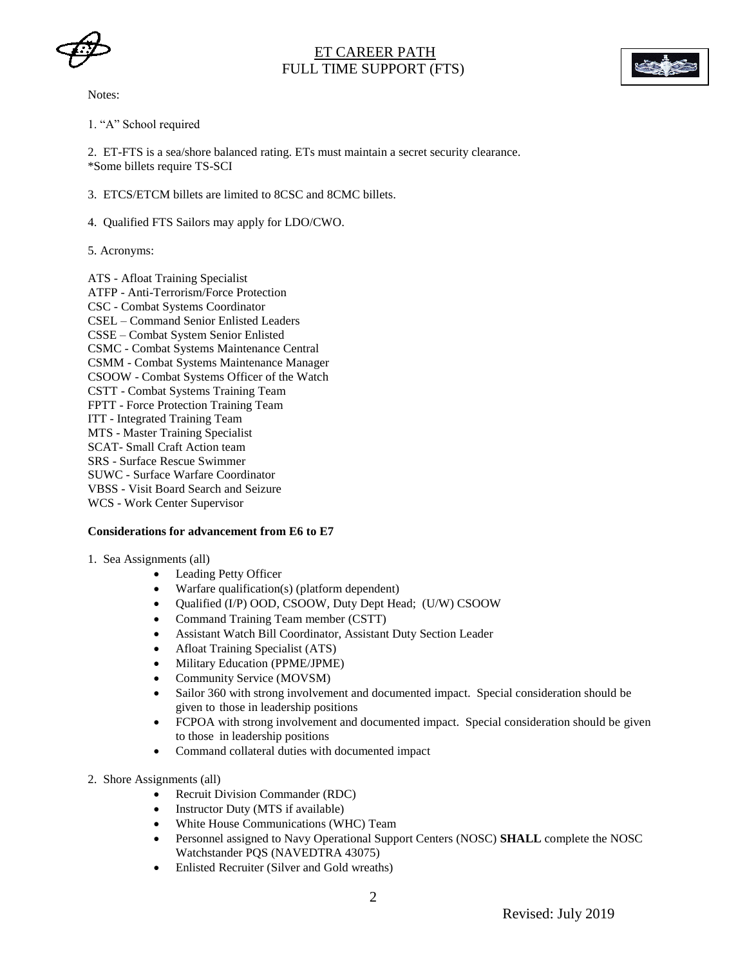



Notes:

1. "A" School required

2. ET-FTS is a sea/shore balanced rating. ETs must maintain a secret security clearance. \*Some billets require TS-SCI

- 3. ETCS/ETCM billets are limited to 8CSC and 8CMC billets.
- 4. Qualified FTS Sailors may apply for LDO/CWO.
- 5. Acronyms:

ATS - Afloat Training Specialist ATFP - Anti-Terrorism/Force Protection CSC - Combat Systems Coordinator CSEL – Command Senior Enlisted Leaders CSSE – Combat System Senior Enlisted CSMC - Combat Systems Maintenance Central CSMM - Combat Systems Maintenance Manager CSOOW - Combat Systems Officer of the Watch CSTT - Combat Systems Training Team FPTT - Force Protection Training Team ITT - Integrated Training Team MTS - Master Training Specialist SCAT- Small Craft Action team SRS - Surface Rescue Swimmer SUWC - Surface Warfare Coordinator VBSS - Visit Board Search and Seizure WCS - Work Center Supervisor

#### **Considerations for advancement from E6 to E7**

- 1. Sea Assignments (all)
	- Leading Petty Officer
	- Warfare qualification(s) (platform dependent)
	- Qualified (I/P) OOD, CSOOW, Duty Dept Head; (U/W) CSOOW
	- Command Training Team member (CSTT)
	- Assistant Watch Bill Coordinator, Assistant Duty Section Leader
	- Afloat Training Specialist (ATS)
	- Military Education (PPME/JPME)
	- Community Service (MOVSM)
	- Sailor 360 with strong involvement and documented impact. Special consideration should be given to those in leadership positions
	- FCPOA with strong involvement and documented impact. Special consideration should be given to those in leadership positions
	- Command collateral duties with documented impact
- 2. Shore Assignments (all)
	- Recruit Division Commander (RDC)
	- Instructor Duty (MTS if available)
	- White House Communications (WHC) Team
	- Personnel assigned to Navy Operational Support Centers (NOSC) **SHALL** complete the NOSC Watchstander PQS (NAVEDTRA 43075)
	- Enlisted Recruiter (Silver and Gold wreaths)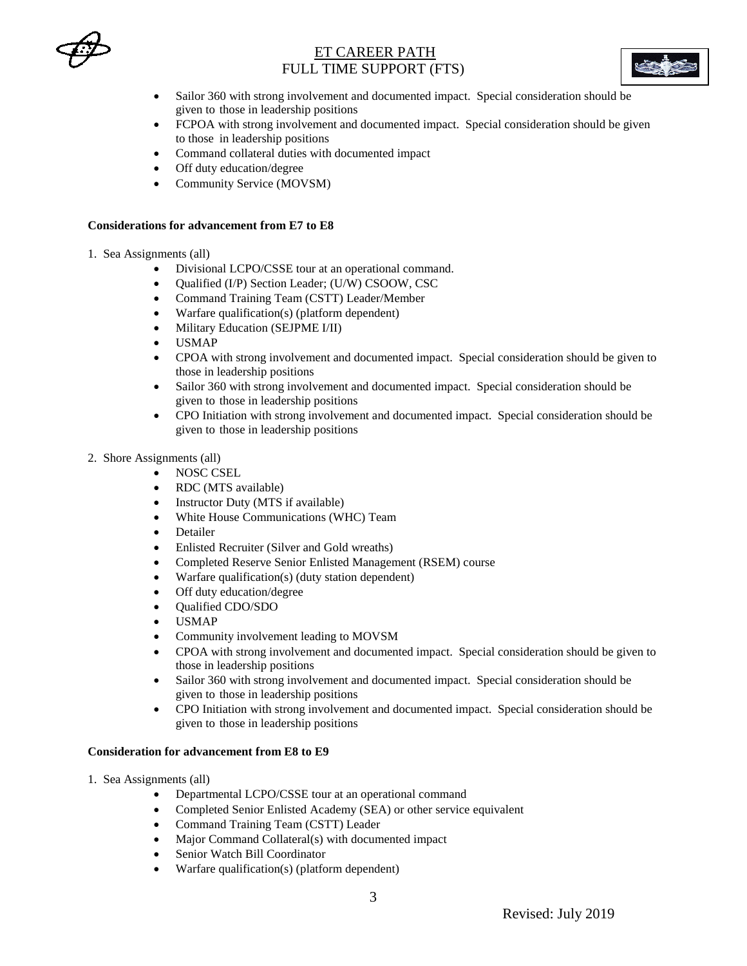



- Sailor 360 with strong involvement and documented impact. Special consideration should be given to those in leadership positions
- FCPOA with strong involvement and documented impact. Special consideration should be given to those in leadership positions
- Command collateral duties with documented impact
- Off duty education/degree
- Community Service (MOVSM)

#### **Considerations for advancement from E7 to E8**

#### 1. Sea Assignments (all)

- Divisional LCPO/CSSE tour at an operational command.
- Qualified (I/P) Section Leader; (U/W) CSOOW, CSC
- Command Training Team (CSTT) Leader/Member
- Warfare qualification(s) (platform dependent)
- Military Education (SEJPME I/II)
- USMAP
- CPOA with strong involvement and documented impact. Special consideration should be given to those in leadership positions
- Sailor 360 with strong involvement and documented impact. Special consideration should be given to those in leadership positions
- CPO Initiation with strong involvement and documented impact. Special consideration should be given to those in leadership positions
- 2. Shore Assignments (all)
	- NOSC CSEL
	- RDC (MTS available)
	- Instructor Duty (MTS if available)
	- White House Communications (WHC) Team
	- Detailer
	- Enlisted Recruiter (Silver and Gold wreaths)
	- Completed Reserve Senior Enlisted Management (RSEM) course
	- Warfare qualification(s) (duty station dependent)
	- Off duty education/degree
	- Qualified CDO/SDO
	- USMAP
	- Community involvement leading to MOVSM
	- CPOA with strong involvement and documented impact. Special consideration should be given to those in leadership positions
	- Sailor 360 with strong involvement and documented impact. Special consideration should be given to those in leadership positions
	- CPO Initiation with strong involvement and documented impact. Special consideration should be given to those in leadership positions

### **Consideration for advancement from E8 to E9**

- 1. Sea Assignments (all)
	- Departmental LCPO/CSSE tour at an operational command
	- Completed Senior Enlisted Academy (SEA) or other service equivalent
	- Command Training Team (CSTT) Leader
	- Major Command Collateral(s) with documented impact
	- Senior Watch Bill Coordinator
	- Warfare qualification(s) (platform dependent)